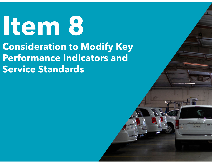# **Item 8 Consideration to Modify Key Performance Indicators and Service Standards**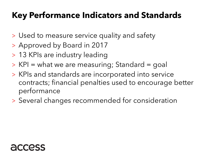### **Key Performance Indicators and Standards**

- > Used to measure service quality and safety
- > Approved by Board in 2017
- > 13 KPIs are industry leading
- > KPI = what we are measuring; Standard = goal
- > KPIs and standards are incorporated into service contracts; financial penalties used to encourage better performance
- > Several changes recommended for consideration

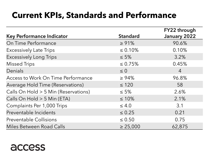#### **Current KPIs, Standards and Performance**

|                                      |                 | FY22 through   |
|--------------------------------------|-----------------|----------------|
| <b>Key Performance Indicator</b>     | <b>Standard</b> | January 2022   |
| On Time Performance                  | $\ge 91\%$      | 90.6%          |
| <b>Excessively Late Trips</b>        | $\leq 0.10\%$   | 0.10%          |
| <b>Excessively Long Trips</b>        | $\leq 5\%$      | 3.2%           |
| <b>Missed Trips</b>                  | $\leq 0.75\%$   | 0.45%          |
| Denials                              | $\leq 0$        | $\overline{4}$ |
| Access to Work On Time Performance   | $\geq 94\%$     | 96.8%          |
| Average Hold Time (Reservations)     | $\leq 120$      | 58             |
| Calls On Hold > 5 Min (Reservations) | $\leq 5\%$      | 2.6%           |
| Calls On Hold > 5 Min (ETA)          | $\leq 10\%$     | 2.1%           |
| Complaints Per 1,000 Trips           | $\leq 4.0$      | 3.1            |
| Preventable Incidents                | $\leq 0.25$     | 0.21           |
| <b>Preventable Collisions</b>        | $\leq 0.50$     | 0.75           |
| Miles Between Road Calls             | $\geq 25,000$   | 62,875         |

#### access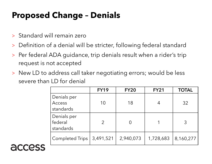#### **Proposed Change – Denials**

- > Standard will remain zero
- > Definition of a denial will be stricter, following federal standard
- > Per federal ADA guidance, trip denials result when a rider's trip request is not accepted
- > New LD to address call taker negotiating errors; would be less severe than LD for denial

|                                           | <b>FY19</b>   | <b>FY20</b> | <b>FY21</b> | <b>TOTAL</b> |
|-------------------------------------------|---------------|-------------|-------------|--------------|
| Denials per<br><b>Access</b><br>standards | 10            | 18          | 4           | 32           |
| Denials per<br>federal<br>standards       | $\mathcal{P}$ |             |             | 3            |
| <b>Completed Trips</b>                    | 3,491,521     | 2,940,073   | 1,728,683   | 8,160,277    |

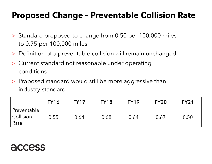#### **Proposed Change – Preventable Collision Rate**

- > Standard proposed to change from 0.50 per 100,000 miles to 0.75 per 100,000 miles
- > Definition of a preventable collision will remain unchanged
- > Current standard not reasonable under operating conditions
- > Proposed standard would still be more aggressive than industry-standard

|                                    | <b>FY16</b> | <b>FY17</b> | <b>FY18</b> | <b>FY19</b> | <b>FY20</b> | <b>FY21</b> |
|------------------------------------|-------------|-------------|-------------|-------------|-------------|-------------|
| Preventable<br>  Collision<br>Rate | 0.55        | 0.64        | 0.68        | 0.64        | 0.67        | 0.50        |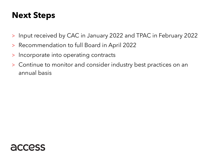#### **Next Steps**

- >Input received by CAC in January 2022 and TPAC in February 2022
- >Recommendation to full Board in April 2022
- >Incorporate into operating contracts
- > Continue to monitor and consider industry best practices on an annual basis

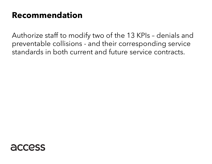#### **Recommendation**

Authorize staff to modify two of the 13 KPIs – denials and preventable collisions - and their corresponding service standards in both current and future service contracts.

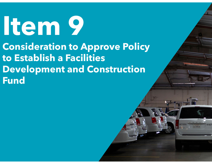# **Item 9 Consideration to Approve Policy to Establish a Facilities Development and Construction Fund**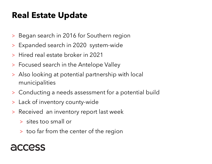#### **Real Estate Update**

- > Began search in 2016 for Southern region
- > Expanded search in 2020 system-wide
- >Hired real estate broker in 2021
- > Focused search in the Antelope Valley
- > Also looking at potential partnership with local municipalities
- > Conducting a needs assessment for a potential build
- > Lack of inventory county-wide
- > Received an inventory report last week
	- > sites too small or
	- > too far from the center of the region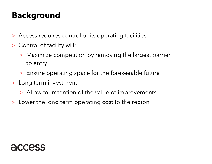### **Background**

- > Access requires control of its operating facilities
- > Control of facility will:
	- > Maximize competition by removing the largest barrier to entry
	- > Ensure operating space for the foreseeable future
- > Long term investment
	- > Allow for retention of the value of improvements
- > Lower the long term operating cost to the region

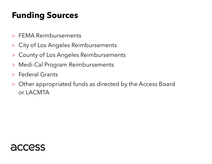### **Funding Sources**

- > FEMA Reimbursements
- >City of Los Angeles Reimbursements
- >County of Los Angeles Reimbursements
- >Medi-Cal Program Reimbursements
- > Federal Grants
- > Other appropriated funds as directed by the Access Board or LACMTA

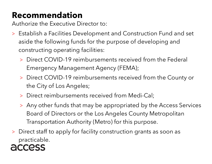### **Recommendation**

Authorize the Executive Director to:

- > Establish a Facilities Development and Construction Fund and set aside the following funds for the purpose of developing and constructing operating facilities:
	- > Direct COVID-19 reimbursements received from the Federal Emergency Management Agency (FEMA);
	- > Direct COVID-19 reimbursements received from the County or the City of Los Angeles;
	- > Direct reimbursements received from Medi-Cal;
	- > Any other funds that may be appropriated by the Access Services Board of Directors or the Los Angeles County Metropolitan Transportation Authority (Metro) for this purpose.
- > Direct staff to apply for facility construction grants as soon as practicable.

#### **CCOSS**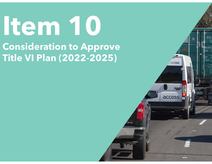# **Item 10 Consideration to Approve Title VI Plan (2022-2025)**

DFSU

117000

access **in**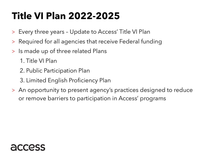# **Title VI Plan 2022-2025**

- $>$ Every three years – Update to Access' Title VI Plan
- >Required for all agencies that receive Federal funding
- > Is made up of three related Plans
	- 1. Title VI Plan
	- 2. Public Participation Plan
	- 3. Limited English Proficiency Plan
- > An opportunity to present agency's practices designed to reduce or remove barriers to participation in Access' programs

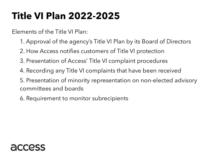# **Title VI Plan 2022-2025**

Elements of the Title VI Plan:

- 1. Approval of the agency's Title VI Plan by its Board of Directors
- 2. How Access notifies customers of Title VI protection
- 3. Presentation of Access' Title VI complaint procedures
- 4. Recording any Title VI complaints that have been received
- 5. Presentation of minority representation on non-elected advisory committees and boards
- 6. Requirement to monitor subrecipients

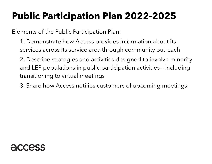# **Public Participation Plan 2022-2025**

Elements of the Public Participation Plan:

1. Demonstrate how Access provides information about its services across its service area through community outreach

2. Describe strategies and activities designed to involve minority and LEP populations in public participation activities – Including transitioning to virtual meetings

3. Share how Access notifies customers of upcoming meetings

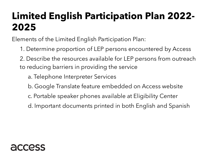## **Limited English Participation Plan 2022- 2025**

Elements of the Limited English Participation Plan:

1. Determine proportion of LEP persons encountered by Access

2. Describe the resources available for LEP persons from outreach to reducing barriers in providing the service

- a. Telephone Interpreter Services
- b. Google Translate feature embedded on Access website
- c. Portable speaker phones available at Eligibility Center
- d. Important documents printed in both English and Spanish